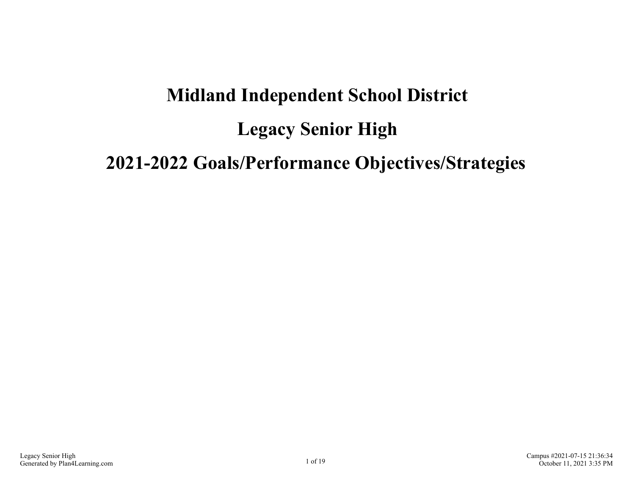# **Midland Independent School District Legacy Senior High 2021-2022 Goals/Performance Objectives/Strategies**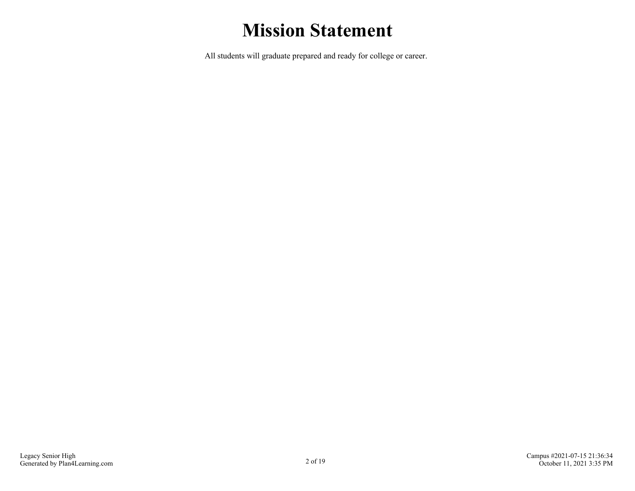## **Mission Statement**

All students will graduate prepared and ready for college or career.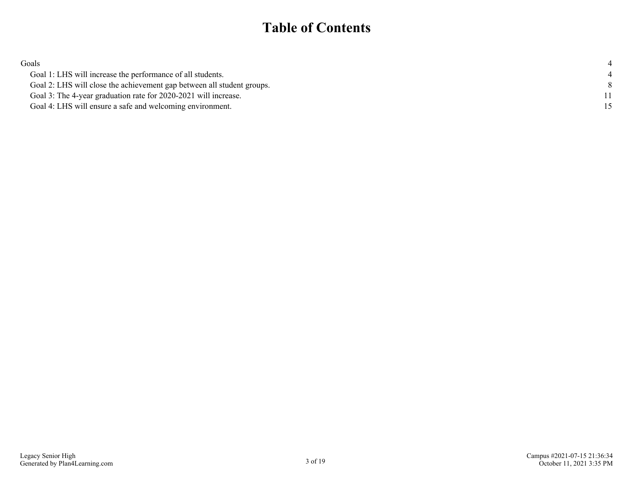### **Table of Contents**

| Goals                                                                  |  |
|------------------------------------------------------------------------|--|
| Goal 1: LHS will increase the performance of all students.             |  |
| Goal 2: LHS will close the achievement gap between all student groups. |  |
| Goal 3: The 4-year graduation rate for 2020-2021 will increase.        |  |
| Goal 4: LHS will ensure a safe and welcoming environment.              |  |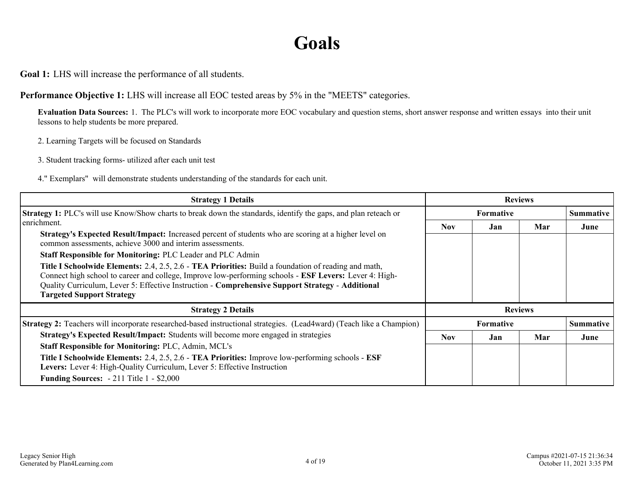### **Goals**

<span id="page-3-0"></span>**Goal 1:** LHS will increase the performance of all students.

**Performance Objective 1:** LHS will increase all EOC tested areas by 5% in the "MEETS" categories.

**Evaluation Data Sources:** 1. The PLC's will work to incorporate more EOC vocabulary and question stems, short answer response and written essays into their unit lessons to help students be more prepared.

2. Learning Targets will be focused on Standards

3. Student tracking forms- utilized after each unit test

4." Exemplars" will demonstrate students understanding of the standards for each unit.

| <b>Strategy 1 Details</b>                                                                                                                                                                                                                                                                                                                                                                                                                                                                                                                                                                                               | <b>Reviews</b> |                  |                |                  |
|-------------------------------------------------------------------------------------------------------------------------------------------------------------------------------------------------------------------------------------------------------------------------------------------------------------------------------------------------------------------------------------------------------------------------------------------------------------------------------------------------------------------------------------------------------------------------------------------------------------------------|----------------|------------------|----------------|------------------|
| <b>Strategy 1:</b> PLC's will use Know/Show charts to break down the standards, identify the gaps, and plan reteach or                                                                                                                                                                                                                                                                                                                                                                                                                                                                                                  |                | <b>Formative</b> |                | <b>Summative</b> |
| enrichment.<br>Strategy's Expected Result/Impact: Increased percent of students who are scoring at a higher level on<br>common assessments, achieve 3000 and interim assessments.<br>Staff Responsible for Monitoring: PLC Leader and PLC Admin<br><b>Title I Schoolwide Elements:</b> 2.4, 2.5, 2.6 - <b>TEA Priorities:</b> Build a foundation of reading and math,<br>Connect high school to career and college, Improve low-performing schools - ESF Levers: Lever 4: High-<br>Quality Curriculum, Lever 5: Effective Instruction - Comprehensive Support Strategy - Additional<br><b>Targeted Support Strategy</b> | <b>Nov</b>     | Jan              | Mar            | June             |
| <b>Strategy 2 Details</b>                                                                                                                                                                                                                                                                                                                                                                                                                                                                                                                                                                                               |                |                  | <b>Reviews</b> |                  |
| <b>Strategy 2:</b> Teachers will incorporate researched-based instructional strategies. (Lead4ward) (Teach like a Champion)                                                                                                                                                                                                                                                                                                                                                                                                                                                                                             |                | <b>Formative</b> |                | <b>Summative</b> |
| Strategy's Expected Result/Impact: Students will become more engaged in strategies                                                                                                                                                                                                                                                                                                                                                                                                                                                                                                                                      | <b>Nov</b>     | Jan              | Mar            | June             |
| <b>Staff Responsible for Monitoring: PLC, Admin, MCL's</b>                                                                                                                                                                                                                                                                                                                                                                                                                                                                                                                                                              |                |                  |                |                  |
| Title I Schoolwide Elements: 2.4, 2.5, 2.6 - TEA Priorities: Improve low-performing schools - ESF<br>Levers: Lever 4: High-Quality Curriculum, Lever 5: Effective Instruction                                                                                                                                                                                                                                                                                                                                                                                                                                           |                |                  |                |                  |
| <b>Funding Sources:</b> - 211 Title 1 - \$2,000                                                                                                                                                                                                                                                                                                                                                                                                                                                                                                                                                                         |                |                  |                |                  |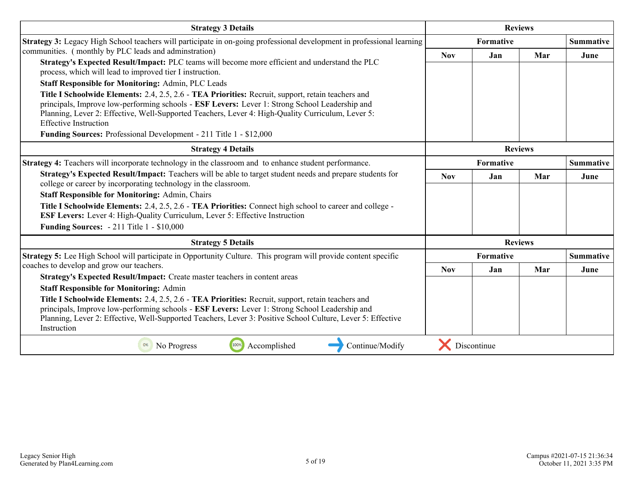| <b>Strategy 3 Details</b>                                                                                                                                                                                                                                                                                                                 | <b>Reviews</b> |             |                |                  |
|-------------------------------------------------------------------------------------------------------------------------------------------------------------------------------------------------------------------------------------------------------------------------------------------------------------------------------------------|----------------|-------------|----------------|------------------|
| Strategy 3: Legacy High School teachers will participate in on-going professional development in professional learning                                                                                                                                                                                                                    |                | Formative   |                | <b>Summative</b> |
| communities. (monthly by PLC leads and adminstration)                                                                                                                                                                                                                                                                                     | <b>Nov</b>     | Jan         | Mar            | June             |
| Strategy's Expected Result/Impact: PLC teams will become more efficient and understand the PLC<br>process, which will lead to improved tier I instruction.                                                                                                                                                                                |                |             |                |                  |
| <b>Staff Responsible for Monitoring: Admin, PLC Leads</b>                                                                                                                                                                                                                                                                                 |                |             |                |                  |
| Title I Schoolwide Elements: 2.4, 2.5, 2.6 - TEA Priorities: Recruit, support, retain teachers and<br>principals, Improve low-performing schools - ESF Levers: Lever 1: Strong School Leadership and<br>Planning, Lever 2: Effective, Well-Supported Teachers, Lever 4: High-Quality Curriculum, Lever 5:<br><b>Effective Instruction</b> |                |             |                |                  |
| Funding Sources: Professional Development - 211 Title 1 - \$12,000                                                                                                                                                                                                                                                                        |                |             |                |                  |
| <b>Strategy 4 Details</b>                                                                                                                                                                                                                                                                                                                 | <b>Reviews</b> |             |                |                  |
| <b>Strategy 4:</b> Teachers will incorporate technology in the classroom and to enhance student performance.                                                                                                                                                                                                                              | Formative      |             |                | <b>Summative</b> |
| Strategy's Expected Result/Impact: Teachers will be able to target student needs and prepare students for<br>college or career by incorporating technology in the classroom.                                                                                                                                                              | <b>Nov</b>     | Jan         | Mar            | June             |
| <b>Staff Responsible for Monitoring: Admin, Chairs</b>                                                                                                                                                                                                                                                                                    |                |             |                |                  |
| Title I Schoolwide Elements: 2.4, 2.5, 2.6 - TEA Priorities: Connect high school to career and college -<br>ESF Levers: Lever 4: High-Quality Curriculum, Lever 5: Effective Instruction                                                                                                                                                  |                |             |                |                  |
| <b>Funding Sources:</b> - 211 Title 1 - \$10,000                                                                                                                                                                                                                                                                                          |                |             |                |                  |
| <b>Strategy 5 Details</b>                                                                                                                                                                                                                                                                                                                 |                |             | <b>Reviews</b> |                  |
| Strategy 5: Lee High School will participate in Opportunity Culture. This program will provide content specific                                                                                                                                                                                                                           |                | Formative   |                | <b>Summative</b> |
| coaches to develop and grow our teachers.                                                                                                                                                                                                                                                                                                 | <b>Nov</b>     | <b>Jan</b>  | Mar            | June             |
| Strategy's Expected Result/Impact: Create master teachers in content areas                                                                                                                                                                                                                                                                |                |             |                |                  |
| <b>Staff Responsible for Monitoring: Admin</b>                                                                                                                                                                                                                                                                                            |                |             |                |                  |
| Title I Schoolwide Elements: 2.4, 2.5, 2.6 - TEA Priorities: Recruit, support, retain teachers and<br>principals, Improve low-performing schools - ESF Levers: Lever 1: Strong School Leadership and                                                                                                                                      |                |             |                |                  |
| Planning, Lever 2: Effective, Well-Supported Teachers, Lever 3: Positive School Culture, Lever 5: Effective<br>Instruction                                                                                                                                                                                                                |                |             |                |                  |
| Accomplished<br>Continue/Modify<br>No Progress<br>100%                                                                                                                                                                                                                                                                                    |                | Discontinue |                |                  |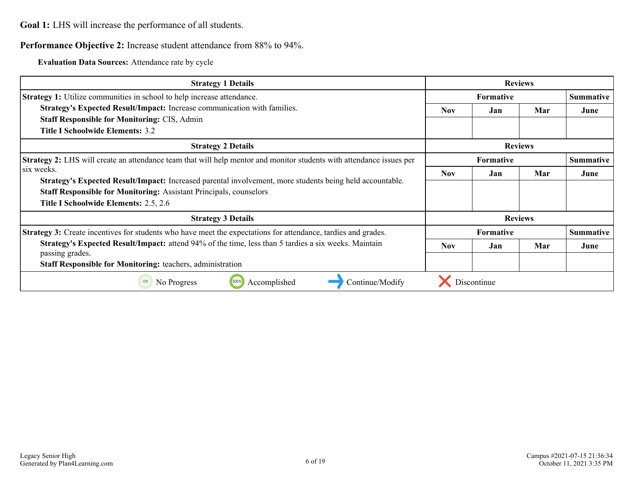**Goal 1:** LHS will increase the performance of all students.

#### **Performance Objective 2:** Increase student attendance from 88% to 94%.

**Evaluation Data Sources:** Attendance rate by cycle

| <b>Strategy 1 Details</b>                                                                                                   | <b>Reviews</b> |                  |                |                  |
|-----------------------------------------------------------------------------------------------------------------------------|----------------|------------------|----------------|------------------|
| <b>Strategy 1:</b> Utilize communities in school to help increase attendance.                                               |                | <b>Formative</b> |                |                  |
| Strategy's Expected Result/Impact: Increase communication with families.                                                    | <b>Nov</b>     | Jan              | Mar            | June             |
| <b>Staff Responsible for Monitoring: CIS, Admin</b>                                                                         |                |                  |                |                  |
| Title I Schoolwide Elements: 3.2                                                                                            |                |                  |                |                  |
| <b>Strategy 2 Details</b>                                                                                                   |                |                  | <b>Reviews</b> |                  |
| <b>Strategy 2:</b> LHS will create an attendance team that will help mentor and monitor students with attendance issues per | Formative      |                  |                | <b>Summative</b> |
| lsix weeks.                                                                                                                 | Nov.           | Jan              | Mar            | June             |
| Strategy's Expected Result/Impact: Increased parental involvement, more students being held accountable.                    |                |                  |                |                  |
| <b>Staff Responsible for Monitoring: Assistant Principals, counselors</b>                                                   |                |                  |                |                  |
| Title I Schoolwide Elements: 2.5, 2.6                                                                                       |                |                  |                |                  |
| <b>Strategy 3 Details</b>                                                                                                   |                |                  | <b>Reviews</b> |                  |
| Strategy 3: Create incentives for students who have meet the expectations for attendance, tardies and grades.               |                | <b>Formative</b> |                | <b>Summative</b> |
| Strategy's Expected Result/Impact: attend 94% of the time, less than 5 tardies a six weeks. Maintain<br>passing grades.     | <b>Nov</b>     | Jan              | Mar            | June             |
| <b>Staff Responsible for Monitoring: teachers, administration</b>                                                           |                |                  |                |                  |
|                                                                                                                             |                |                  |                |                  |
| Accomplished<br>Continue/Modify<br>0%<br>No Progress<br>100%                                                                |                | Discontinue      |                |                  |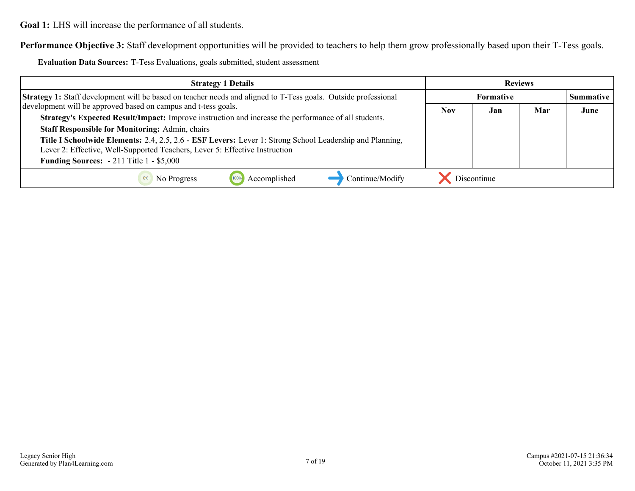**Goal 1:** LHS will increase the performance of all students.

**Performance Objective 3:** Staff development opportunities will be provided to teachers to help them grow professionally based upon their T-Tess goals.

**Evaluation Data Sources:** T-Tess Evaluations, goals submitted, student assessment

| <b>Strategy 1 Details</b>                                                                                                                                                               | <b>Reviews</b> |                  |                  |      |
|-----------------------------------------------------------------------------------------------------------------------------------------------------------------------------------------|----------------|------------------|------------------|------|
| <b>Strategy 1:</b> Staff development will be based on teacher needs and aligned to T-Tess goals. Outside professional                                                                   |                | <b>Formative</b> | <b>Summative</b> |      |
| development will be approved based on campus and t-tess goals.                                                                                                                          | <b>Nov</b>     | Jan              | Mar              | June |
| Strategy's Expected Result/Impact: Improve instruction and increase the performance of all students.                                                                                    |                |                  |                  |      |
| <b>Staff Responsible for Monitoring: Admin, chairs</b>                                                                                                                                  |                |                  |                  |      |
| Title I Schoolwide Elements: 2.4, 2.5, 2.6 - ESF Levers: Lever 1: Strong School Leadership and Planning,<br>Lever 2: Effective, Well-Supported Teachers, Lever 5: Effective Instruction |                |                  |                  |      |
| <b>Funding Sources:</b> $-211$ Title 1 $-$ \$5,000                                                                                                                                      |                |                  |                  |      |
| Continue/Modify<br>Accomplished<br>No Progress                                                                                                                                          |                | Discontinue      |                  |      |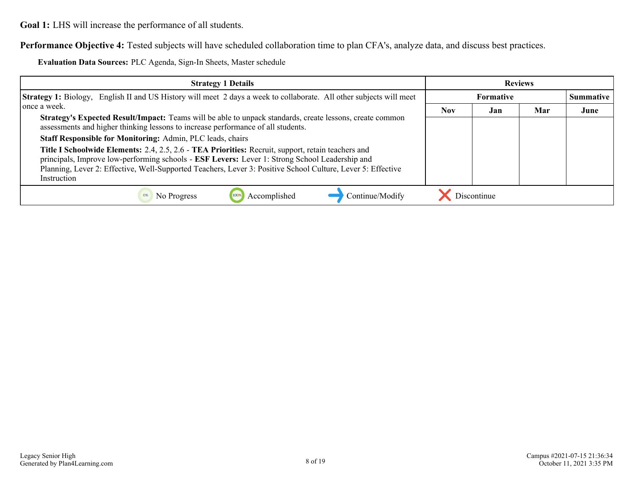**Goal 1:** LHS will increase the performance of all students.

**Performance Objective 4:** Tested subjects will have scheduled collaboration time to plan CFA's, analyze data, and discuss best practices.

**Evaluation Data Sources:** PLC Agenda, Sign-In Sheets, Master schedule

| <b>Strategy 1 Details</b>                                                                                                                                                                                                                                                                                                                 | <b>Reviews</b>   |             |     |                  |
|-------------------------------------------------------------------------------------------------------------------------------------------------------------------------------------------------------------------------------------------------------------------------------------------------------------------------------------------|------------------|-------------|-----|------------------|
| <b>Strategy 1:</b> Biology, English II and US History will meet 2 days a week to collaborate. All other subjects will meet                                                                                                                                                                                                                | <b>Formative</b> |             |     | <b>Summative</b> |
| l once a week.                                                                                                                                                                                                                                                                                                                            | <b>Nov</b>       | Jan         | Mar | June             |
| Strategy's Expected Result/Impact: Teams will be able to unpack standards, create lessons, create common<br>assessments and higher thinking lessons to increase performance of all students.                                                                                                                                              |                  |             |     |                  |
| Staff Responsible for Monitoring: Admin, PLC leads, chairs                                                                                                                                                                                                                                                                                |                  |             |     |                  |
| Title I Schoolwide Elements: 2.4, 2.5, 2.6 - TEA Priorities: Recruit, support, retain teachers and<br>principals, Improve low-performing schools - <b>ESF Levers:</b> Lever 1: Strong School Leadership and<br>Planning, Lever 2: Effective, Well-Supported Teachers, Lever 3: Positive School Culture, Lever 5: Effective<br>Instruction |                  |             |     |                  |
| Accomplished<br>Continue/Modify<br>No Progress<br>0%                                                                                                                                                                                                                                                                                      |                  | Discontinue |     |                  |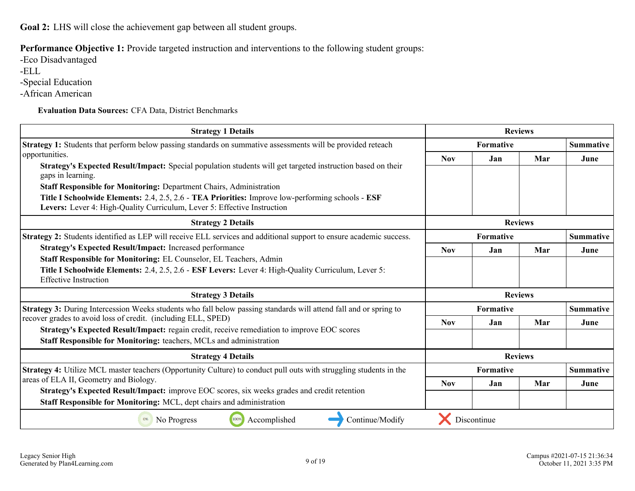<span id="page-8-0"></span>**Goal 2:** LHS will close the achievement gap between all student groups.

**Performance Objective 1:** Provide targeted instruction and interventions to the following student groups:

-Eco Disadvantaged -ELL

-Special Education

-African American

**Evaluation Data Sources:** CFA Data, District Benchmarks

| <b>Strategy 1 Details</b>                                                                                                                                                     |            | <b>Reviews</b> |                  |                  |
|-------------------------------------------------------------------------------------------------------------------------------------------------------------------------------|------------|----------------|------------------|------------------|
| Strategy 1: Students that perform below passing standards on summative assessments will be provided reteach                                                                   |            | Formative      |                  |                  |
| opportunities.                                                                                                                                                                | <b>Nov</b> | Jan            | Mar              | June             |
| Strategy's Expected Result/Impact: Special population students will get targeted instruction based on their<br>gaps in learning.                                              |            |                |                  |                  |
| <b>Staff Responsible for Monitoring: Department Chairs, Administration</b>                                                                                                    |            |                |                  |                  |
| Title I Schoolwide Elements: 2.4, 2.5, 2.6 - TEA Priorities: Improve low-performing schools - ESF<br>Levers: Lever 4: High-Quality Curriculum, Lever 5: Effective Instruction |            |                |                  |                  |
| <b>Strategy 2 Details</b>                                                                                                                                                     |            |                | <b>Reviews</b>   |                  |
| Strategy 2: Students identified as LEP will receive ELL services and additional support to ensure academic success.                                                           | Formative  |                |                  | <b>Summative</b> |
| <b>Strategy's Expected Result/Impact: Increased performance</b>                                                                                                               | <b>Nov</b> | Jan            | Mar              | June             |
| Staff Responsible for Monitoring: EL Counselor, EL Teachers, Admin                                                                                                            |            |                |                  |                  |
| Title I Schoolwide Elements: 2.4, 2.5, 2.6 - ESF Levers: Lever 4: High-Quality Curriculum, Lever 5:<br><b>Effective Instruction</b>                                           |            |                |                  |                  |
| <b>Strategy 3 Details</b>                                                                                                                                                     |            |                | <b>Reviews</b>   |                  |
| Strategy 3: During Intercession Weeks students who fall below passing standards will attend fall and or spring to                                                             | Formative  |                | <b>Summative</b> |                  |
| recover grades to avoid loss of credit. (including ELL, SPED)                                                                                                                 | <b>Nov</b> | Jan            | Mar              | June             |
| Strategy's Expected Result/Impact: regain credit, receive remediation to improve EOC scores<br>Staff Responsible for Monitoring: teachers, MCLs and administration            |            |                |                  |                  |
| <b>Strategy 4 Details</b>                                                                                                                                                     |            |                | <b>Reviews</b>   |                  |
| <b>Strategy 4:</b> Utilize MCL master teachers (Opportunity Culture) to conduct pull outs with struggling students in the                                                     |            | Formative      |                  | <b>Summative</b> |
| areas of ELA II, Geometry and Biology.                                                                                                                                        | <b>Nov</b> | Jan            | Mar              | June             |
| Strategy's Expected Result/Impact: improve EOC scores, six weeks grades and credit retention<br>Staff Responsible for Monitoring: MCL, dept chairs and administration         |            |                |                  |                  |
| Accomplished<br>100%<br>Continue/Modify<br>0%<br>No Progress                                                                                                                  |            | Discontinue    |                  |                  |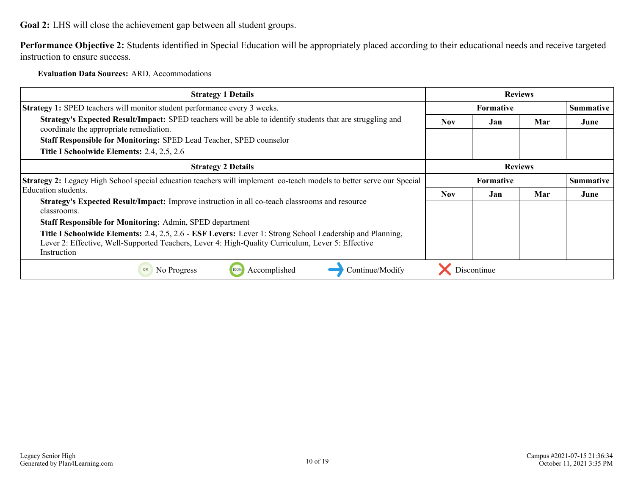**Goal 2:** LHS will close the achievement gap between all student groups.

**Performance Objective 2:** Students identified in Special Education will be appropriately placed according to their educational needs and receive targeted instruction to ensure success.

**Evaluation Data Sources:** ARD, Accommodations

| <b>Strategy 1 Details</b>                                                                                                                             | <b>Reviews</b>   |             |                |                  |
|-------------------------------------------------------------------------------------------------------------------------------------------------------|------------------|-------------|----------------|------------------|
| <b>Strategy 1:</b> SPED teachers will monitor student performance every 3 weeks.                                                                      | <b>Formative</b> |             |                | <b>Summative</b> |
| Strategy's Expected Result/Impact: SPED teachers will be able to identify students that are struggling and<br>coordinate the appropriate remediation. | <b>Nov</b>       | Jan         | Mar            | June             |
| Staff Responsible for Monitoring: SPED Lead Teacher, SPED counselor                                                                                   |                  |             |                |                  |
| Title I Schoolwide Elements: 2.4, 2.5, 2.6                                                                                                            |                  |             |                |                  |
| <b>Strategy 2 Details</b>                                                                                                                             |                  |             | <b>Reviews</b> |                  |
| <b>Strategy 2:</b> Legacy High School special education teachers will implement co-teach models to better serve our Special                           | <b>Formative</b> |             |                | <b>Summative</b> |
| Education students.                                                                                                                                   | <b>Nov</b>       | Jan         | Mar            | June             |
| Strategy's Expected Result/Impact: Improve instruction in all co-teach classrooms and resource<br>classrooms.                                         |                  |             |                |                  |
| <b>Staff Responsible for Monitoring: Admin, SPED department</b>                                                                                       |                  |             |                |                  |
| Title I Schoolwide Elements: 2.4, 2.5, 2.6 - ESF Levers: Lever 1: Strong School Leadership and Planning,                                              |                  |             |                |                  |
| Lever 2: Effective, Well-Supported Teachers, Lever 4: High-Quality Curriculum, Lever 5: Effective                                                     |                  |             |                |                  |
| Instruction                                                                                                                                           |                  |             |                |                  |
| 0%<br>Accomplished<br>Continue/Modify<br>No Progress<br>100%                                                                                          |                  | Discontinue |                |                  |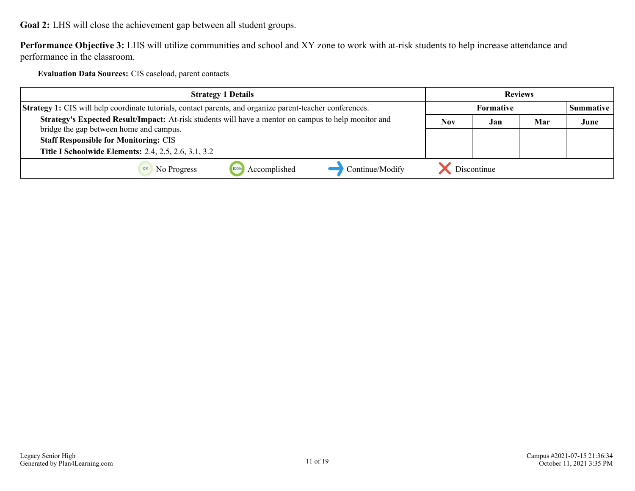**Goal 2:** LHS will close the achievement gap between all student groups.

**Performance Objective 3:** LHS will utilize communities and school and XY zone to work with at-risk students to help increase attendance and performance in the classroom.

**Evaluation Data Sources:** CIS caseload, parent contacts

| <b>Strategy 1 Details</b>                                                                                                                       | <b>Reviews</b> |                  |     |                  |
|-------------------------------------------------------------------------------------------------------------------------------------------------|----------------|------------------|-----|------------------|
| Strategy 1: CIS will help coordinate tutorials, contact parents, and organize parent-teacher conferences.                                       |                | <b>Formative</b> |     | <b>Summative</b> |
| Strategy's Expected Result/Impact: At-risk students will have a mentor on campus to help monitor and<br>bridge the gap between home and campus. | Nov            | Jan              | Mar | June             |
| <b>Staff Responsible for Monitoring: CIS</b>                                                                                                    |                |                  |     |                  |
| <b>Title I Schoolwide Elements: 2.4, 2.5, 2.6, 3.1, 3.2</b>                                                                                     |                |                  |     |                  |
| Continue/Modify<br>Accomplished<br>No Progress                                                                                                  |                | Discontinue      |     |                  |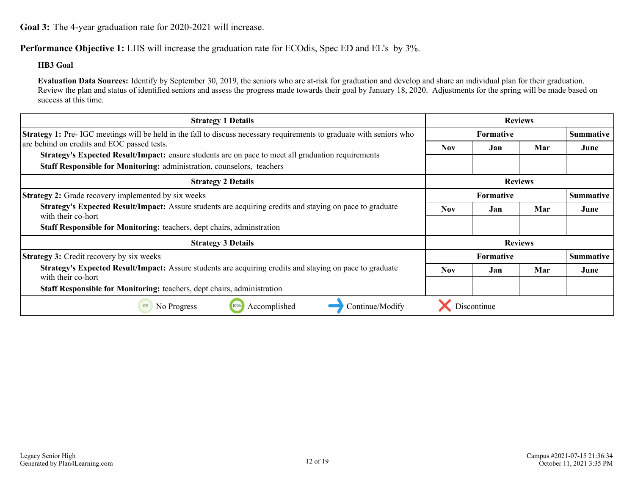<span id="page-11-0"></span>**Performance Objective 1:** LHS will increase the graduation rate for ECOdis, Spec ED and EL's by 3%.

#### **HB3 Goal**

**Evaluation Data Sources:** Identify by September 30, 2019, the seniors who are at-risk for graduation and develop and share an individual plan for their graduation. Review the plan and status of identified seniors and assess the progress made towards their goal by January 18, 2020. Adjustments for the spring will be made based on success at this time.

| <b>Strategy 1 Details</b>                                                                                                                                                           | <b>Reviews</b>   |                  |                |                  |
|-------------------------------------------------------------------------------------------------------------------------------------------------------------------------------------|------------------|------------------|----------------|------------------|
| <b>Strategy 1:</b> Pre-IGC meetings will be held in the fall to discuss necessary requirements to graduate with seniors who                                                         |                  | <b>Formative</b> |                | <b>Summative</b> |
| are behind on credits and EOC passed tests.                                                                                                                                         | <b>Nov</b>       | Jan              | Mar            | June             |
| <b>Strategy's Expected Result/Impact:</b> ensure students are on pace to meet all graduation requirements<br>Staff Responsible for Monitoring: administration, counselors, teachers |                  |                  |                |                  |
| <b>Strategy 2 Details</b>                                                                                                                                                           |                  |                  | <b>Reviews</b> |                  |
| <b>Strategy 2:</b> Grade recovery implemented by six weeks                                                                                                                          | <b>Formative</b> |                  |                | <b>Summative</b> |
| Strategy's Expected Result/Impact: Assure students are acquiring credits and staying on pace to graduate<br>with their co-hort                                                      | <b>Nov</b>       | Jan              | Mar            | June             |
| <b>Staff Responsible for Monitoring: teachers, dept chairs, adminitration</b>                                                                                                       |                  |                  |                |                  |
| <b>Strategy 3 Details</b>                                                                                                                                                           |                  |                  | <b>Reviews</b> |                  |
| <b>Strategy 3: Credit recovery by six weeks</b>                                                                                                                                     |                  | Formative        |                | <b>Summative</b> |
| Strategy's Expected Result/Impact: Assure students are acquiring credits and staying on pace to graduate<br>with their co-hort                                                      | <b>Nov</b>       | Jan              | Mar            | June             |
| Staff Responsible for Monitoring: teachers, dept chairs, administration                                                                                                             |                  |                  |                |                  |
| Accomplished<br>Continue/Modify<br>No Progress<br>100%<br>0%                                                                                                                        |                  | Discontinue      |                |                  |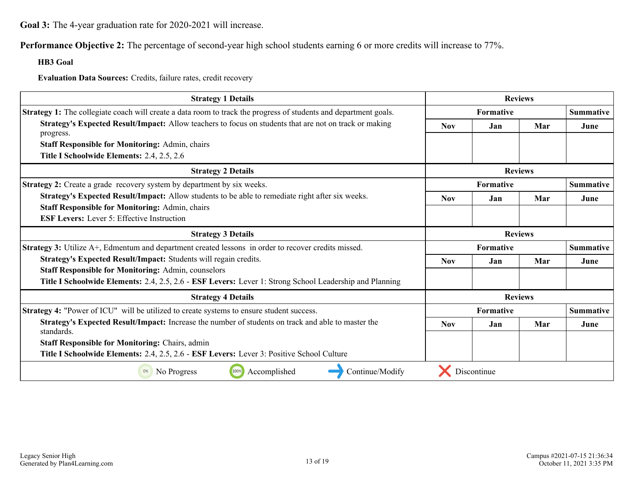**Performance Objective 2:** The percentage of second-year high school students earning 6 or more credits will increase to 77%.

**HB3 Goal**

**Evaluation Data Sources:** Credits, failure rates, credit recovery

| <b>Strategy 1 Details</b>                                                                                               |            | <b>Reviews</b> |                |                  |
|-------------------------------------------------------------------------------------------------------------------------|------------|----------------|----------------|------------------|
| <b>Strategy 1:</b> The collegiate coach will create a data room to track the progress of students and department goals. |            | Formative      |                |                  |
| Strategy's Expected Result/Impact: Allow teachers to focus on students that are not on track or making<br>progress.     | <b>Nov</b> | Jan            | Mar            | June             |
| <b>Staff Responsible for Monitoring: Admin, chairs</b>                                                                  |            |                |                |                  |
| Title I Schoolwide Elements: 2.4, 2.5, 2.6                                                                              |            |                |                |                  |
| <b>Strategy 2 Details</b>                                                                                               |            |                | <b>Reviews</b> |                  |
| Strategy 2: Create a grade recovery system by department by six weeks.                                                  |            | Formative      |                | <b>Summative</b> |
| Strategy's Expected Result/Impact: Allow students to be able to remediate right after six weeks.                        | <b>Nov</b> | Jan            | Mar            | June             |
| <b>Staff Responsible for Monitoring: Admin, chairs</b>                                                                  |            |                |                |                  |
| <b>ESF Levers:</b> Lever 5: Effective Instruction                                                                       |            |                |                |                  |
| <b>Strategy 3 Details</b>                                                                                               |            | <b>Reviews</b> |                |                  |
| <b>Strategy 3:</b> Utilize A+, Edmentum and department created lessons in order to recover credits missed.              |            | Formative      |                | <b>Summative</b> |
| Strategy's Expected Result/Impact: Students will regain credits.                                                        | <b>Nov</b> | Jan            | Mar            | June             |
| <b>Staff Responsible for Monitoring: Admin, counselors</b>                                                              |            |                |                |                  |
| Title I Schoolwide Elements: 2.4, 2.5, 2.6 - ESF Levers: Lever 1: Strong School Leadership and Planning                 |            |                |                |                  |
| <b>Strategy 4 Details</b>                                                                                               |            |                | <b>Reviews</b> |                  |
| <b>Strategy 4:</b> "Power of ICU" will be utilized to create systems to ensure student success.                         |            | Formative      |                | <b>Summative</b> |
| Strategy's Expected Result/Impact: Increase the number of students on track and able to master the<br>standards.        | <b>Nov</b> | Jan            | Mar            | June             |
| <b>Staff Responsible for Monitoring: Chairs, admin</b>                                                                  |            |                |                |                  |
| Title I Schoolwide Elements: 2.4, 2.5, 2.6 - ESF Levers: Lever 3: Positive School Culture                               |            |                |                |                  |
| Continue/Modify<br>100%<br>Accomplished<br>0%<br>No Progress                                                            |            | Discontinue    |                |                  |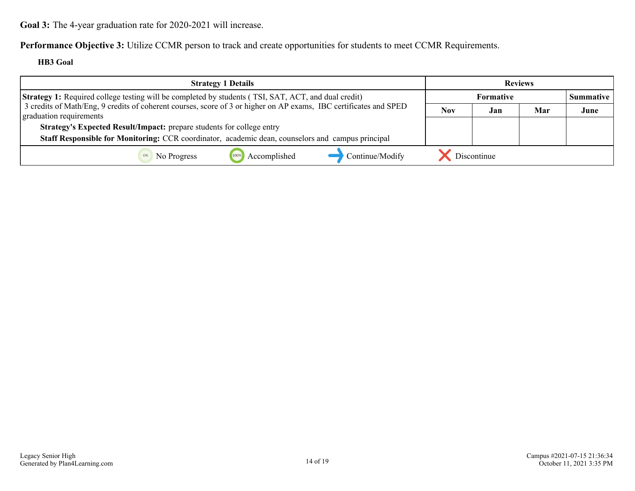**Performance Objective 3:** Utilize CCMR person to track and create opportunities for students to meet CCMR Requirements.

**HB3 Goal**

| <b>Strategy 1 Details</b>                                                                                                                    | <b>Reviews</b> |                  |     |                  |
|----------------------------------------------------------------------------------------------------------------------------------------------|----------------|------------------|-----|------------------|
| <b>Strategy 1:</b> Required college testing will be completed by students (TSI, SAT, ACT, and dual credit)                                   |                | <b>Formative</b> |     | <b>Summative</b> |
| 3 credits of Math/Eng, 9 credits of coherent courses, score of 3 or higher on AP exams, IBC certificates and SPED<br>graduation requirements | <b>Nov</b>     | Jan              | Mar | June             |
| Strategy's Expected Result/Impact: prepare students for college entry                                                                        |                |                  |     |                  |
| Staff Responsible for Monitoring: CCR coordinator, academic dean, counselors and campus principal                                            |                |                  |     |                  |
| Accomplished<br>Continue/Modify<br>No Progress                                                                                               |                | Discontinue      |     |                  |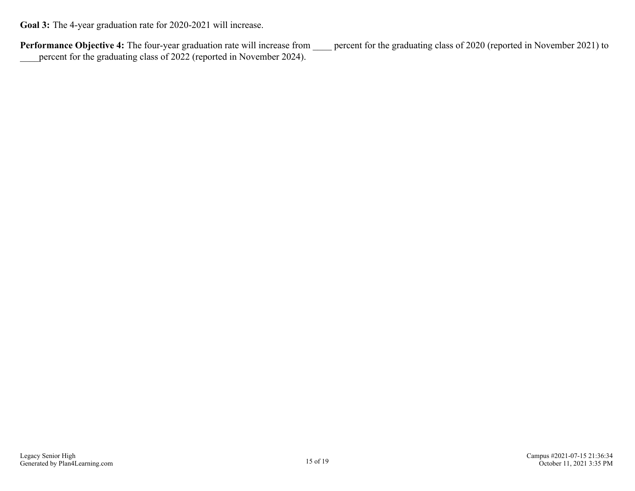Performance Objective 4: The four-year graduation rate will increase from <u>equal percent</u> for the graduating class of 2020 (reported in November 2021) to \_\_\_\_percent for the graduating class of 2022 (reported in November 2024).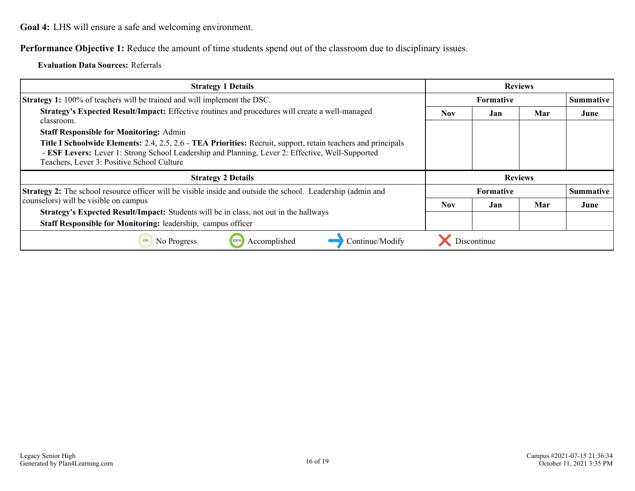<span id="page-15-0"></span>**Performance Objective 1:** Reduce the amount of time students spend out of the classroom due to disciplinary issues.

**Evaluation Data Sources:** Referrals

| <b>Strategy 1 Details</b>                                                                                                                                                                                                                                       | <b>Reviews</b>   |                               |     |                  |
|-----------------------------------------------------------------------------------------------------------------------------------------------------------------------------------------------------------------------------------------------------------------|------------------|-------------------------------|-----|------------------|
| <b>Strategy 1:</b> 100% of teachers will be trained and will implement the DSC.                                                                                                                                                                                 | <b>Formative</b> |                               |     | <b>Summative</b> |
| Strategy's Expected Result/Impact: Effective routines and procedures will create a well-managed<br>classroom.                                                                                                                                                   | <b>Nov</b>       | Jan                           | Mar | June             |
| <b>Staff Responsible for Monitoring: Admin</b>                                                                                                                                                                                                                  |                  |                               |     |                  |
| Title I Schoolwide Elements: 2.4, 2.5, 2.6 - TEA Priorities: Recruit, support, retain teachers and principals<br>- ESF Levers: Lever 1: Strong School Leadership and Planning, Lever 2: Effective, Well-Supported<br>Teachers, Lever 3: Positive School Culture |                  |                               |     |                  |
| <b>Strategy 2 Details</b>                                                                                                                                                                                                                                       | <b>Reviews</b>   |                               |     |                  |
| Strategy 2: The school resource officer will be visible inside and outside the school. Leadership (admin and                                                                                                                                                    |                  | Formative<br><b>Summative</b> |     |                  |
| counselors) will be visible on campus                                                                                                                                                                                                                           | <b>Nov</b>       | Jan                           | Mar | June             |
| <b>Strategy's Expected Result/Impact:</b> Students will be in class, not out in the hallways                                                                                                                                                                    |                  |                               |     |                  |
| Staff Responsible for Monitoring: leadership, campus officer                                                                                                                                                                                                    |                  |                               |     |                  |
| Accomplished<br>Continue/Modify<br>0%<br>No Progress<br>100%                                                                                                                                                                                                    |                  | Discontinue                   |     |                  |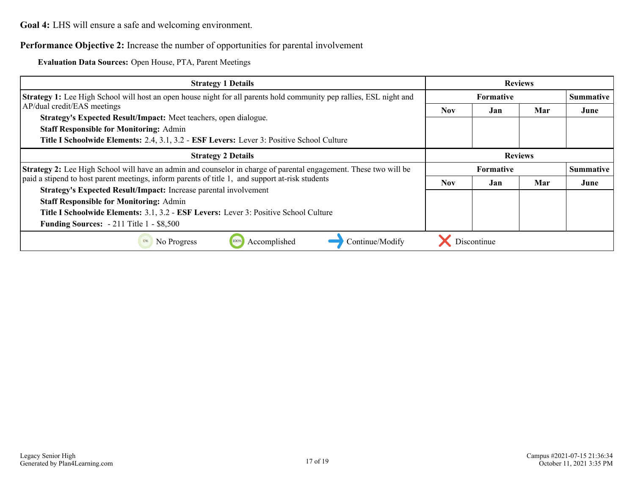### **Performance Objective 2:** Increase the number of opportunities for parental involvement

**Evaluation Data Sources:** Open House, PTA, Parent Meetings

| <b>Strategy 1 Details</b>                                                                                                                                                                                                  | <b>Reviews</b> |                                      |     |      |
|----------------------------------------------------------------------------------------------------------------------------------------------------------------------------------------------------------------------------|----------------|--------------------------------------|-----|------|
| <b>Strategy 1:</b> Lee High School will host an open house night for all parents hold community pep rallies, ESL night and                                                                                                 |                | <b>Formative</b>                     |     |      |
| AP/dual credit/EAS meetings                                                                                                                                                                                                | Nov.           | Jan                                  | Mar | June |
| Strategy's Expected Result/Impact: Meet teachers, open dialogue.                                                                                                                                                           |                |                                      |     |      |
| <b>Staff Responsible for Monitoring: Admin</b>                                                                                                                                                                             |                |                                      |     |      |
| Title I Schoolwide Elements: 2.4, 3.1, 3.2 - ESF Levers: Lever 3: Positive School Culture                                                                                                                                  |                |                                      |     |      |
| <b>Strategy 2 Details</b>                                                                                                                                                                                                  | <b>Reviews</b> |                                      |     |      |
| <b>Strategy 2:</b> Lee High School will have an admin and counselor in charge of parental engagement. These two will be<br>paid a stipend to host parent meetings, inform parents of title 1, and support at-risk students |                | <b>Summative</b><br><b>Formative</b> |     |      |
|                                                                                                                                                                                                                            |                | Jan                                  | Mar | June |
| Strategy's Expected Result/Impact: Increase parental involvement                                                                                                                                                           |                |                                      |     |      |
| <b>Staff Responsible for Monitoring: Admin</b>                                                                                                                                                                             |                |                                      |     |      |
| Title I Schoolwide Elements: 3.1, 3.2 - ESF Levers: Lever 3: Positive School Culture                                                                                                                                       |                |                                      |     |      |
| <b>Funding Sources:</b> $-211$ Title 1 $-$ \$8,500                                                                                                                                                                         |                |                                      |     |      |
| Continue/Modify<br>Accomplished<br>No Progress<br>0%                                                                                                                                                                       |                | Discontinue                          |     |      |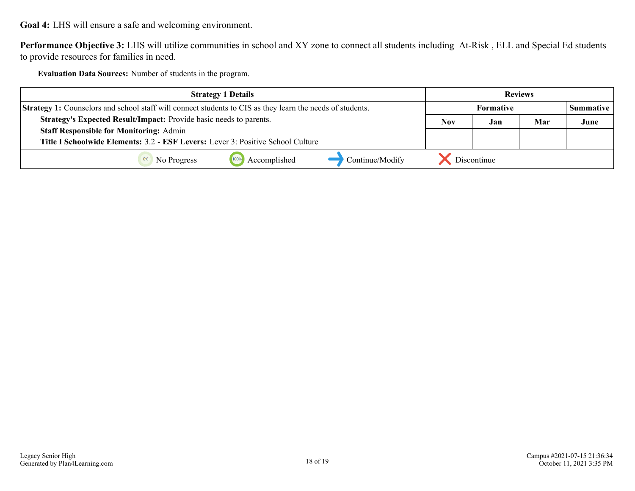**Performance Objective 3:** LHS will utilize communities in school and XY zone to connect all students including At-Risk , ELL and Special Ed students to provide resources for families in need.

**Evaluation Data Sources:** Number of students in the program.

| <b>Strategy 1 Details</b>                                                                                        |                 | <b>Reviews</b>   |             |                    |      |
|------------------------------------------------------------------------------------------------------------------|-----------------|------------------|-------------|--------------------|------|
| <b>Strategy 1:</b> Counselors and school staff will connect students to CIS as they learn the needs of students. |                 | <b>Formative</b> |             | <b>Summative</b> 1 |      |
| Strategy's Expected Result/Impact: Provide basic needs to parents.                                               |                 | Nov              | Jan         | Mar                | June |
| <b>Staff Responsible for Monitoring: Admin</b>                                                                   |                 |                  |             |                    |      |
| Title I Schoolwide Elements: 3.2 - ESF Levers: Lever 3: Positive School Culture                                  |                 |                  |             |                    |      |
| Accomplished<br>No Progress                                                                                      | Continue/Modify |                  | Discontinue |                    |      |